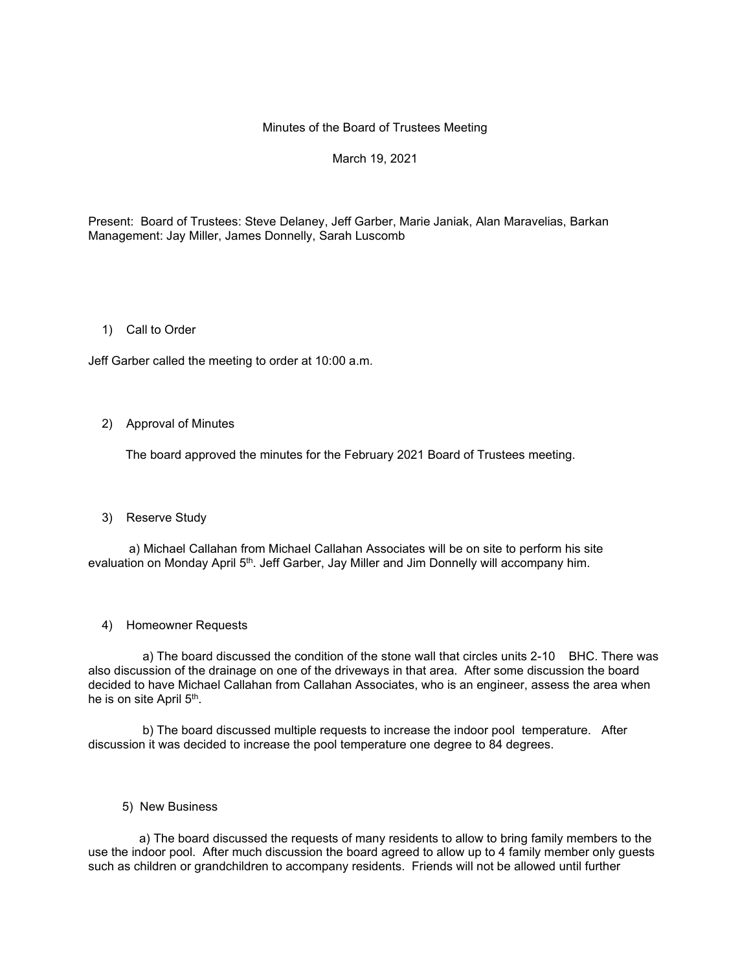## Minutes of the Board of Trustees Meeting

# March 19, 2021

Present: Board of Trustees: Steve Delaney, Jeff Garber, Marie Janiak, Alan Maravelias, Barkan Management: Jay Miller, James Donnelly, Sarah Luscomb

## 1) Call to Order

Jeff Garber called the meeting to order at 10:00 a.m.

### 2) Approval of Minutes

The board approved the minutes for the February 2021 Board of Trustees meeting.

# 3) Reserve Study

 a) Michael Callahan from Michael Callahan Associates will be on site to perform his site evaluation on Monday April 5<sup>th</sup>. Jeff Garber, Jay Miller and Jim Donnelly will accompany him.

#### 4) Homeowner Requests

 a) The board discussed the condition of the stone wall that circles units 2-10 BHC. There was also discussion of the drainage on one of the driveways in that area. After some discussion the board decided to have Michael Callahan from Callahan Associates, who is an engineer, assess the area when he is on site April 5<sup>th</sup>.

 b) The board discussed multiple requests to increase the indoor pool temperature. After discussion it was decided to increase the pool temperature one degree to 84 degrees.

5) New Business

 a) The board discussed the requests of many residents to allow to bring family members to the use the indoor pool. After much discussion the board agreed to allow up to 4 family member only guests such as children or grandchildren to accompany residents. Friends will not be allowed until further